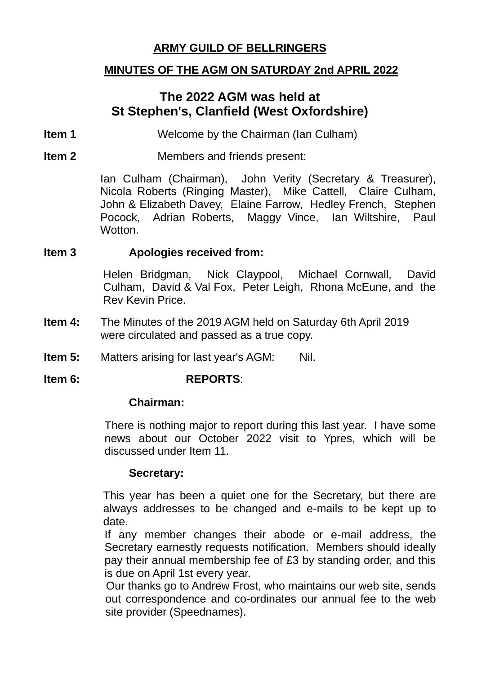# **ARMY GUILD OF BELLRINGERS**

## **MINUTES OF THE AGM ON SATURDAY 2nd APRIL 2022**

# **The 2022 AGM was held at St Stephen's, Clanfield (West Oxfordshire)**

**Item 1** Welcome by the Chairman (Ian Culham)

**Item 2** Members and friends present:

Ian Culham (Chairman), John Verity (Secretary & Treasurer), Nicola Roberts (Ringing Master), Mike Cattell, Claire Culham, John & Elizabeth Davey, Elaine Farrow, Hedley French, Stephen Pocock, Adrian Roberts, Maggy Vince, Ian Wiltshire, Paul Wotton.

#### **Item 3 Apologies received from:**

Helen Bridgman, Nick Claypool, Michael Cornwall, David Culham, David & Val Fox, Peter Leigh, Rhona McEune, and the Rev Kevin Price.

- **Item 4:** The Minutes of the 2019 AGM held on Saturday 6th April 2019 were circulated and passed as a true copy.
- **Item 5:** Matters arising for last year's AGM: Nil.
- **Item 6: REPORTS**:

#### **Chairman:**

There is nothing major to report during this last year. I have some news about our October 2022 visit to Ypres, which will be discussed under Item 11.

### **Secretary:**

This year has been a quiet one for the Secretary, but there are always addresses to be changed and e-mails to be kept up to date.

If any member changes their abode or e-mail address, the Secretary earnestly requests notification. Members should ideally pay their annual membership fee of £3 by standing order, and this is due on April 1st every year.

Our thanks go to Andrew Frost, who maintains our web site, sends out correspondence and co-ordinates our annual fee to the web site provider (Speednames).